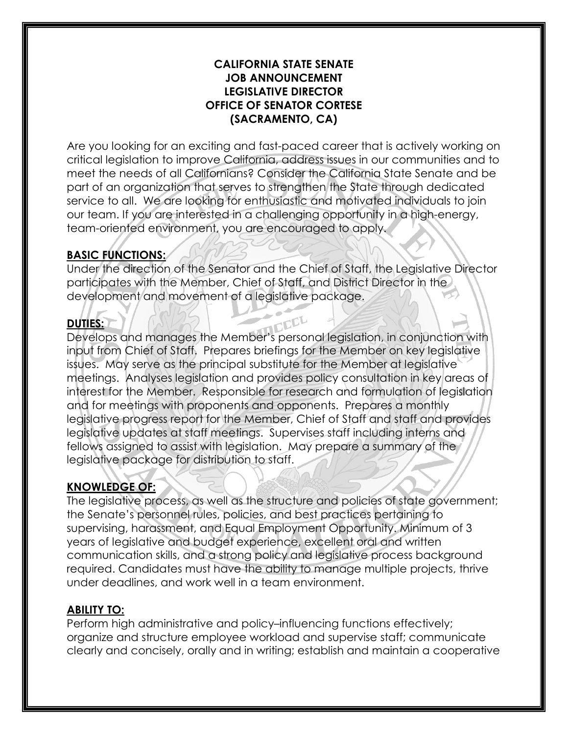#### **CALIFORNIA STATE SENATE JOB ANNOUNCEMENT LEGISLATIVE DIRECTOR OFFICE OF SENATOR CORTESE (SACRAMENTO, CA)**

Are you looking for an exciting and fast-paced career that is actively working on critical legislation to improve California, address issues in our communities and to meet the needs of all Californians? Consider the California State Senate and be part of an organization that serves to strengthen the State through dedicated service to all. We are looking for enthusiastic and motivated individuals to join our team. If you are interested in a challenging opportunity in a high-energy, team-oriented environment, you are encouraged to apply.

### **BASIC FUNCTIONS:**

Under the direction of the Senator and the Chief of Staff, the Legislative Director participates with the Member, Chief of Staff, and District Director in the development and movement of a legislative package.

### **DUTIES:**

Develops and manages the Member's personal legislation, in conjunction with input from Chief of Staff. Prepares briefings for the Member on key legislative issues. May serve as the principal substitute for the Member at legislative meetings. Analyses legislation and provides policy consultation in key areas of interest for the Member. Responsible for research and formulation of legislation and for meetings with proponents and opponents. Prepares a monthly legislative progress report for the Member, Chief of Staff and staff and provides legislative updates at staff meetings. Supervises staff including interns and fellows assigned to assist with legislation. May prepare a summary of the legislative package for distribution to staff.

### **KNOWLEDGE OF:**

The legislative process, as well as the structure and policies of state government; the Senate's personnel rules, policies, and best practices pertaining to supervising, harassment, and Equal Employment Opportunity. Minimum of 3 years of legislative and budget experience, excellent oral and written communication skills, and a strong policy and legislative process background required. Candidates must have the ability to manage multiple projects, thrive under deadlines, and work well in a team environment.

### **ABILITY TO:**

Perform high administrative and policy–influencing functions effectively; organize and structure employee workload and supervise staff; communicate clearly and concisely, orally and in writing; establish and maintain a cooperative